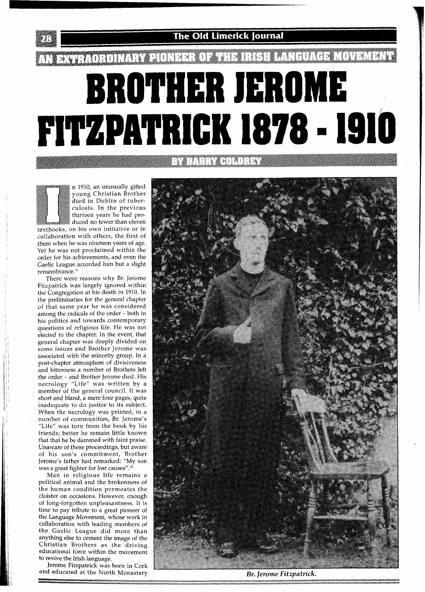## AN EXTRAORDINARY PIONEER OF THE IRISH LANGUAGE MOVEMENT. **ROTHER JEROME<br>FITZPATRICK 1878 - 1910**

**EVALUATION** 

**The Old Limerick Journal** 

n 1910, an unusually gifted young Christian Brother died in Dublin of tuberculosis. In the previous thirteen years he had produced no fewer than eleven textbooks, on his own initiative or in collaboration with others, the first of them when he was nineteen years of age. Yet he was not proclaimed within the order for his achievements, and even the Gaelic League accorded him but a slight remembrance."'

There were reasons why Br. Jerome Fitzpatrick was largely ignored within the Congregation at his death in 1910. In the preliminaries for the general chapter of that same year he was considered among the radicals of the order - both in his politics and towards contemporary questions of religious life. He was not elected to the chapter. In the event, that general chapter was deeply divided on some issues and Brother Jerome was associated with the minority group. In a post-chapter atmosphere of divisiveness and bitterness a number of Brothers left the order - and Brother Jerome died. His necrology "Life" was written by a member of the general council. It was short and bland, a mere four pages, quite inadequate to do justice to its subject. When the necrology was printed, in a number of communities, Br. Jerome's "Life" was torn from the book by his friends; better he remain little known that that he be dammed with faint praise. Unaware of these proceedings, but aware of his son's commitment, Brother Jerome's father had remarked: "My son was a great fighter for lost causes".<sup>20</sup>

Man in religious life remains a political animal and the brokenness of the human condition permeates the cloister on occasions. However, enough of long-forgotten unpleasantness. It is time to pay tribute to a great pioneer of the Language Movement, whose work in collaboration with leading members of the Gaelic League did more than anything else to cement the image of the Christian Brothers as the driving educational force within the movement to revive the Irish language.

Jerome Fitzpatrick was born in Cork and educated at the North Monastery **Br. Jerome Fitzpatrick.** 

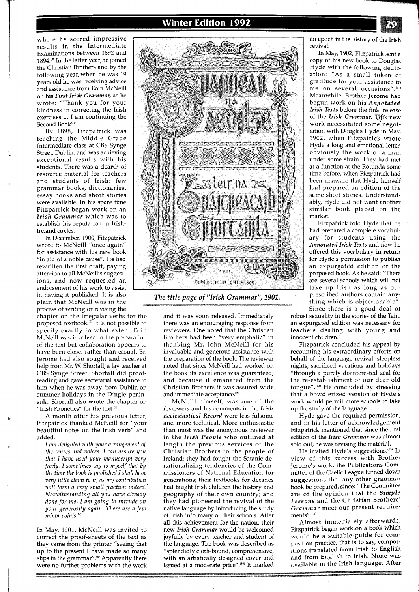where he scored impressive results in the Intermediate Examinations between 1892 and 1894. $(3)$  In the latter year, he joined the Christian Brothers and by the following year, when he was 19 years old he was receiving advice and assistance from Eoin McNeill on his *First Irish Grammar,* as he wrote: "Thank you for your kindness in correcting the Irish exercises ... I am continuing the Second Book"<sup>(4)</sup>

By 1898, Fitzpatrick was teaching the Middle Grade Intermediate class at CBS Synge Street, Dublin, and was achieving exceptional results with his students. There was a dearth of resource material for teachers and students of Irish: few grammar books, dictionaries, essay books and short stories were available. In his spare time Fitzpatrick began work on an *Irish Grammar* which was to establish his reputation in Irish-Ireland circles.

In December, 1900, Fitzpatrick wrote to McNeill "once again" for assistance with his new book "in aid of a noble cause". He had rewritten the first draft, paying attention to all McNeill's suggestions, and now requested an endorsement of his work to assist<br>in having it published. It is also plain that McNeill was in the process of writing or revising the

chapter on the irregular verbs for the proposed textbook. $^{(5)}$  It is not possible to specify exactly to what extent Eoin McNeill was involved in the preparation of the text but collaboration appears to have been close, rather than casual. Br. Jerome had also sought and received help from Mr. W. Shortall, a lay teacher at CBS Synge Street. Shortall did proofreading and gave secretarial assistance to him when he was away from Dublin on summer holidays in the Dingle peninsula. Shortall also wrote the chapter on "Irish Phonetics" for the text. $60$ 

A month after his previous letter, Fitzpatrick thanked McNeill for "your beautiful notes on the Irish verb" and added:

*I am delighted with your arrangement of the tenses and voices. I can assure you that I have used your manuscript very freely. I sometimes say to myself that by the time the book is published I shall have very little claim to it, as my contribution will form a very small fraction indeed.' Notwithstanding all you have already done for me, I am going to intrude on your generosity again. There are a few*   $minor$  *points.*<sup>(2)</sup>

In May, 1901, McNeill was invited to correct the proof-sheets of the text as they came from the printer "seeing that up to the present I have made so many slips in the grammar".<sup>(8)</sup> Apparently there were no further problems with the work



and it was soon released. Immediately there was an encouraging response from reviewers. One noted that the Christian Brothers had been "very emphatic" in thanking Mr. John McNeill for his invaluable and generous assistance with the preparation of the book. The reviewer noted that since McNeill had worked on the book its excellence was guaranteed, and because it emanated from the Christian Brothers it was assured wide and immediate acceptance.<sup>(9)</sup>

McNeill himself, was one of the reviewers and his comments in the *Irish Ecclesiastical Record* were less fulsome and more technical. More enthusiastic than most was the anonymous reviewer in the *Irish People* who outlined at length the previous services of the Christian Brothers to the people of Ireland: they had fought the Satanic denationalizing tendencies of the Commissioners of National Education for generations; their textbooks for decades had taught Irish children the history and geography of their own country; and they had pioneered the revival of the native language by introducing the study of Irish into many of their schools. After all this achievement for the nation, their new *Irish Grammar* would be welcomed joyfully by every teacher and student of the language. The book was described as "splendidly cloth-bound, comprehensive, with an artistically designed cover and issued at a moderate price".<sup>(10)</sup> It marked

an epoch in the history of the Irish revival.

In May, 1902, Fitzpatrick sent a copy of his new book to Douglas Hyde with the following dedication: "As a small token of gratitude for your assistance to me on several occasions".<sup>(11)</sup> Meanwhile, Brother Jerome had begun work on his *Anrotated Irish Texts* before the final release of the Irish Grammar. This new work necessitated some negotiation with Douglas Hyde in May, 1902, when Fitzpatrick wrote Hyde a long and emotional letter, obviously the work of a man under some strain. They had met at a function at the Rotunda some time before, when Fitzpatrick had been unaware that Hyde himself had prepared an edition of the same short stories. Understandably, Hyde did not want another similar book placed on the market.

Fitzpatrick told Hyde that he had prepared a complete vocabulary for students using the *Annotated Irish Texts* and now he offered this vocabulary in return for Hyde's permission to publish an expurgated edition of the proposed book. As he said: "There are several schools which will not take up Irish as long as our prescribed authors contain anything which is objectionable". Since there is a good deal of

robust sexuality in the stories of the Tain, an expurgated edition was necessary for teachers dealing with young and innocent children.

Fitzpatrick concluded his appeal by recounting his extraordinary efforts on behalf of the language revival: sleepless nights, sacrificed vacations and holidays "through a purely disinterested zeal for the re-establishment of our dear old tongue". $(12)$  He concluded by stressing that a bowdlerized version of Hyde's work would permit more schools to take up the study of the language.

Hyde gave the required permission, and in his letter of acknowledgement Fitzpatrick mentioned that since the first edition of the *Irish Grammar* was almost sold out, he was revising the material.

He invited Hyde's suggestions.<sup>(13)</sup> In view of this success with Brother Jerome's work, the Publications Committee of the Gaelic League turned down suggestions that any other grammar book be prepared, since: "The Committee are of the opinion that the *Simple Lessons* and the Christian Brothers' *Grammar* meet our present requirements".<sup>(14)</sup>

Almost immediately afterwards, Fitzpatrick began work on a book which would be a suitable guide for composition practice, that is to say, compositions translated from Irish to English and from English to Irish. None was available in the Irish language. After